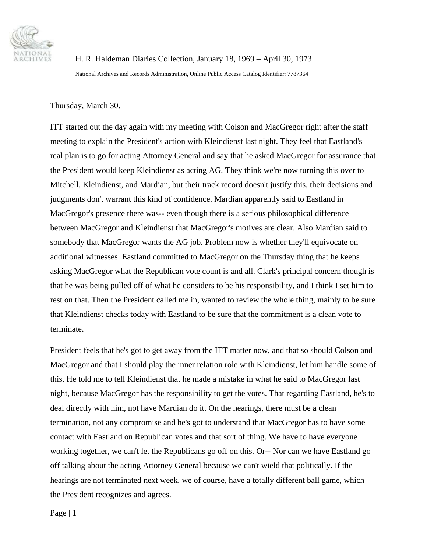

 H. R. Haldeman Diaries Collection, January 18, 1969 – April 30, 1973 National Archives and Records Administration, Online Public Access Catalog Identifier: 7787364

Thursday, March 30.

ITT started out the day again with my meeting with Colson and MacGregor right after the staff meeting to explain the President's action with Kleindienst last night. They feel that Eastland's real plan is to go for acting Attorney General and say that he asked MacGregor for assurance that the President would keep Kleindienst as acting AG. They think we're now turning this over to Mitchell, Kleindienst, and Mardian, but their track record doesn't justify this, their decisions and judgments don't warrant this kind of confidence. Mardian apparently said to Eastland in MacGregor's presence there was-- even though there is a serious philosophical difference between MacGregor and Kleindienst that MacGregor's motives are clear. Also Mardian said to somebody that MacGregor wants the AG job. Problem now is whether they'll equivocate on additional witnesses. Eastland committed to MacGregor on the Thursday thing that he keeps asking MacGregor what the Republican vote count is and all. Clark's principal concern though is that he was being pulled off of what he considers to be his responsibility, and I think I set him to rest on that. Then the President called me in, wanted to review the whole thing, mainly to be sure that Kleindienst checks today with Eastland to be sure that the commitment is a clean vote to terminate.

President feels that he's got to get away from the ITT matter now, and that so should Colson and MacGregor and that I should play the inner relation role with Kleindienst, let him handle some of this. He told me to tell Kleindienst that he made a mistake in what he said to MacGregor last night, because MacGregor has the responsibility to get the votes. That regarding Eastland, he's to deal directly with him, not have Mardian do it. On the hearings, there must be a clean termination, not any compromise and he's got to understand that MacGregor has to have some contact with Eastland on Republican votes and that sort of thing. We have to have everyone working together, we can't let the Republicans go off on this. Or-- Nor can we have Eastland go off talking about the acting Attorney General because we can't wield that politically. If the hearings are not terminated next week, we of course, have a totally different ball game, which the President recognizes and agrees.

Page | 1